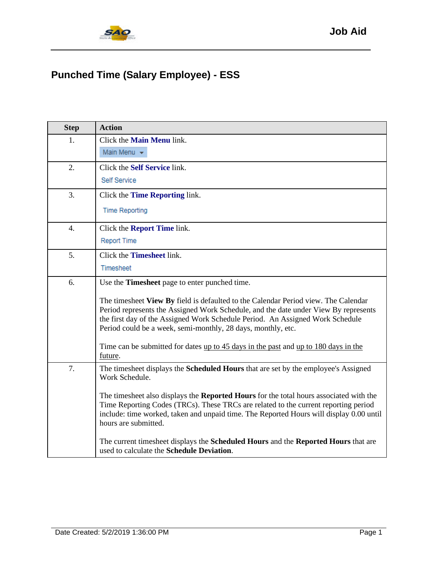## **Punched Time (Salary Employee) - ESS**

| <b>Step</b>      | <b>Action</b>                                                                                                                                                                                                                                                                                                                                                                                                                                                                                                                                             |
|------------------|-----------------------------------------------------------------------------------------------------------------------------------------------------------------------------------------------------------------------------------------------------------------------------------------------------------------------------------------------------------------------------------------------------------------------------------------------------------------------------------------------------------------------------------------------------------|
| 1.               | Click the <b>Main Menu</b> link.<br>Main Menu -                                                                                                                                                                                                                                                                                                                                                                                                                                                                                                           |
| 2.               | Click the Self Service link.<br>Self Service                                                                                                                                                                                                                                                                                                                                                                                                                                                                                                              |
| 3.               | Click the Time Reporting link.<br><b>Time Reporting</b>                                                                                                                                                                                                                                                                                                                                                                                                                                                                                                   |
| $\overline{4}$ . | Click the <b>Report Time</b> link.<br><b>Report Time</b>                                                                                                                                                                                                                                                                                                                                                                                                                                                                                                  |
| 5.               | Click the <b>Timesheet</b> link.<br>Timesheet                                                                                                                                                                                                                                                                                                                                                                                                                                                                                                             |
| 6.               | Use the <b>Timesheet</b> page to enter punched time.<br>The timesheet View By field is defaulted to the Calendar Period view. The Calendar<br>Period represents the Assigned Work Schedule, and the date under View By represents<br>the first day of the Assigned Work Schedule Period. An Assigned Work Schedule<br>Period could be a week, semi-monthly, 28 days, monthly, etc.<br>Time can be submitted for dates up to 45 days in the past and up to 180 days in the<br>future.                                                                      |
| 7.               | The timesheet displays the <b>Scheduled Hours</b> that are set by the employee's Assigned<br>Work Schedule.<br>The timesheet also displays the <b>Reported Hours</b> for the total hours associated with the<br>Time Reporting Codes (TRCs). These TRCs are related to the current reporting period<br>include: time worked, taken and unpaid time. The Reported Hours will display 0.00 until<br>hours are submitted.<br>The current timesheet displays the Scheduled Hours and the Reported Hours that are<br>used to calculate the Schedule Deviation. |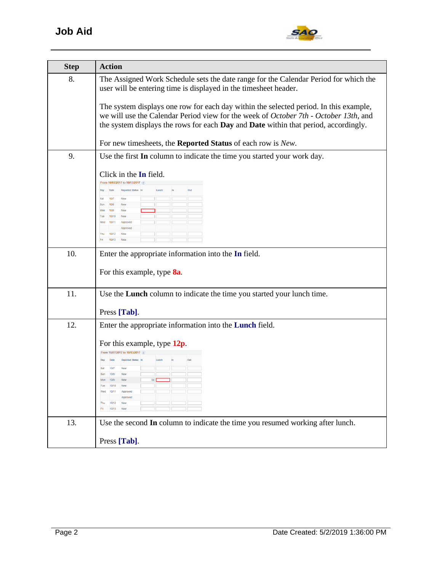

| <b>Step</b> | <b>Action</b>                                                                                                                                                                                                                                                        |
|-------------|----------------------------------------------------------------------------------------------------------------------------------------------------------------------------------------------------------------------------------------------------------------------|
| 8.          | The Assigned Work Schedule sets the date range for the Calendar Period for which the<br>user will be entering time is displayed in the timesheet header.                                                                                                             |
|             | The system displays one row for each day within the selected period. In this example,<br>we will use the Calendar Period view for the week of October 7th - October 13th, and<br>the system displays the rows for each Day and Date within that period, accordingly. |
|             | For new timesheets, the Reported Status of each row is New.                                                                                                                                                                                                          |
| 9.          | Use the first In column to indicate the time you started your work day.                                                                                                                                                                                              |
|             | Click in the In field.<br>From 10/07/2017 to 10/13/2017<br>Reported Status In<br>Date<br>Lunch<br>Out<br>10/7<br>New<br>10/8<br>New<br>10/9<br><b>New</b><br>10/10<br><b>New</b><br>10/11<br>Approved<br>Approved<br>10/12<br>Thu<br>10/13<br>New                    |
| 10.         | Enter the appropriate information into the In field.                                                                                                                                                                                                                 |
|             | For this example, type 8a.                                                                                                                                                                                                                                           |
| 11.         | Use the Lunch column to indicate the time you started your lunch time.                                                                                                                                                                                               |
|             | Press [Tab].                                                                                                                                                                                                                                                         |
| 12.         | Enter the appropriate information into the Lunch field.                                                                                                                                                                                                              |
|             | For this example, type $12p$ .<br>From 10/07/2017 to 10/13/2017 ?<br><b>Reported Status</b> In<br>10/8<br>10/9<br>8a<br>New<br>Approved<br>10/13<br><b>New</b>                                                                                                       |
| 13.         | Use the second In column to indicate the time you resumed working after lunch.                                                                                                                                                                                       |
|             | Press [Tab].                                                                                                                                                                                                                                                         |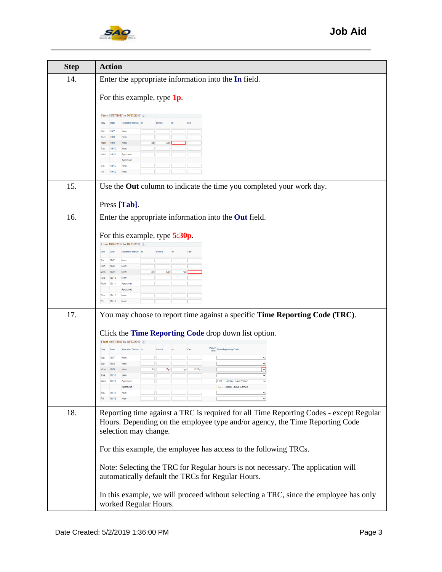

| <b>Step</b> | <b>Action</b>                                                                                                                                                                                   |
|-------------|-------------------------------------------------------------------------------------------------------------------------------------------------------------------------------------------------|
| 14.         | Enter the appropriate information into the In field.                                                                                                                                            |
|             | For this example, type $1p$ .                                                                                                                                                                   |
|             | From 10/07/2017 to 10/13/2017 ?<br>Date<br><b>Reported Status</b><br>Day                                                                                                                        |
|             | 10/7<br>Sat<br><b>New</b><br>10/8<br>New<br>Sun<br>Mon<br>10/9<br>120<br>10/10<br>Tue<br><b>New</b>                                                                                             |
|             | Wed<br>10/11<br>Approved<br>10/12<br>Thu<br>New                                                                                                                                                 |
|             | 10/13<br>Fri<br>Nev                                                                                                                                                                             |
| 15.         | Use the Out column to indicate the time you completed your work day.                                                                                                                            |
|             | Press [Tab].                                                                                                                                                                                    |
| 16.         | Enter the appropriate information into the Out field.                                                                                                                                           |
|             | For this example, type 5:30p.                                                                                                                                                                   |
|             | From 10/07/2017 to 10/13/2017<br>Out<br>Date<br><b>Reported Status</b><br>Lunch<br>Day                                                                                                          |
|             | 10/7<br>Sat<br><b>New</b><br>Sun<br>10/8<br><b>New</b><br>1p  <br>12p<br>Mon<br>10/9                                                                                                            |
|             | 10/10<br>Tue<br><b>New</b><br>Wed<br>10/11<br>Approved                                                                                                                                          |
|             | Approved<br>10/12<br>Thu<br>New<br>Fri<br>10/13<br>Nev                                                                                                                                          |
| 17.         | You may choose to report time against a specific Time Reporting Code (TRC).                                                                                                                     |
|             | Click the Time Reporting Code drop down list option.                                                                                                                                            |
|             | From 10/07/2017 to 10/13/2017<br>Punch<br>Total Time Reporting Code<br>Out<br>Date<br><b>Reported Status</b> In<br>Lunch<br>Day                                                                 |
|             | 10/7<br>Sat<br>New<br>$\breve{\phantom{a}}$<br>10/8<br>Sun<br>New                                                                                                                               |
|             | 12p<br>10/9<br>5:30p<br>Mon<br>10/10<br>Tue<br>New                                                                                                                                              |
|             | HOL - Holiday Leave Taker<br>10/11<br>Wed<br>HLE - Holiday Leave Earned<br>Approved<br>м<br>Thu<br>10/12<br><b>New</b>                                                                          |
|             | ▽<br>10/13                                                                                                                                                                                      |
| 18.         | Reporting time against a TRC is required for all Time Reporting Codes - except Regular<br>Hours. Depending on the employee type and/or agency, the Time Reporting Code<br>selection may change. |
|             | For this example, the employee has access to the following TRCs.                                                                                                                                |
|             | Note: Selecting the TRC for Regular hours is not necessary. The application will<br>automatically default the TRCs for Regular Hours.                                                           |
|             | In this example, we will proceed without selecting a TRC, since the employee has only<br>worked Regular Hours.                                                                                  |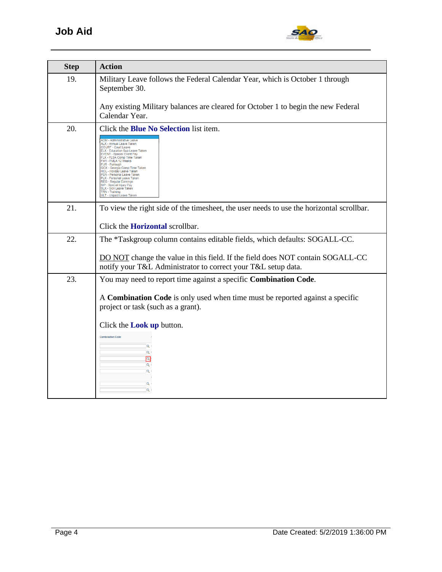

| <b>Step</b> | <b>Action</b>                                                                                                                                                                                                                                                                                                                                                                                                                                                                                                    |
|-------------|------------------------------------------------------------------------------------------------------------------------------------------------------------------------------------------------------------------------------------------------------------------------------------------------------------------------------------------------------------------------------------------------------------------------------------------------------------------------------------------------------------------|
| 19.         | Military Leave follows the Federal Calendar Year, which is October 1 through<br>September 30.                                                                                                                                                                                                                                                                                                                                                                                                                    |
|             | Any existing Military balances are cleared for October 1 to begin the new Federal<br>Calendar Year.                                                                                                                                                                                                                                                                                                                                                                                                              |
| 20.         | Click the <b>Blue No Selection</b> list item.                                                                                                                                                                                                                                                                                                                                                                                                                                                                    |
|             | <b>ADM - Administrative Leave</b><br>Al X - Annual Leave Taken<br><b>COURT - Court Leave</b><br>ELX - Education Sup Leave Taken<br><b>EVENT - Special Event Pay</b><br>FLX - FLSA Comp Time Taken<br>FM1 - FMLA 12 Weeks<br>FUR - Furlough<br>GCX - Georgia Comp Time Taken<br>HOL - Holiday Leave Taken<br>PER - Personal Leave Taken<br>PLX - Personal Leave Taken<br>REG - Regular Earnings<br>SIP - Special Injury Pay<br><b>SLX - Sick Leave Taken</b><br><b>TRN - Training</b><br>JLT - Unpaid Leave Taken |
| 21.         | To view the right side of the timesheet, the user needs to use the horizontal scrollbar.                                                                                                                                                                                                                                                                                                                                                                                                                         |
|             | Click the <b>Horizontal</b> scrollbar.                                                                                                                                                                                                                                                                                                                                                                                                                                                                           |
| 22.         | The *Taskgroup column contains editable fields, which defaults: SOGALL-CC.                                                                                                                                                                                                                                                                                                                                                                                                                                       |
|             | DO NOT change the value in this field. If the field does NOT contain SOGALL-CC<br>notify your T&L Administrator to correct your T&L setup data.                                                                                                                                                                                                                                                                                                                                                                  |
| 23.         | You may need to report time against a specific Combination Code.                                                                                                                                                                                                                                                                                                                                                                                                                                                 |
|             | A Combination Code is only used when time must be reported against a specific<br>project or task (such as a grant).                                                                                                                                                                                                                                                                                                                                                                                              |
|             | Click the <b>Look up</b> button.                                                                                                                                                                                                                                                                                                                                                                                                                                                                                 |
|             | <b>Combination Code</b>                                                                                                                                                                                                                                                                                                                                                                                                                                                                                          |
|             | $\alpha$<br>$\alpha$<br>$\alpha$                                                                                                                                                                                                                                                                                                                                                                                                                                                                                 |
|             | $\alpha$<br>Q I                                                                                                                                                                                                                                                                                                                                                                                                                                                                                                  |
|             | Q                                                                                                                                                                                                                                                                                                                                                                                                                                                                                                                |
|             | $\overline{a}$                                                                                                                                                                                                                                                                                                                                                                                                                                                                                                   |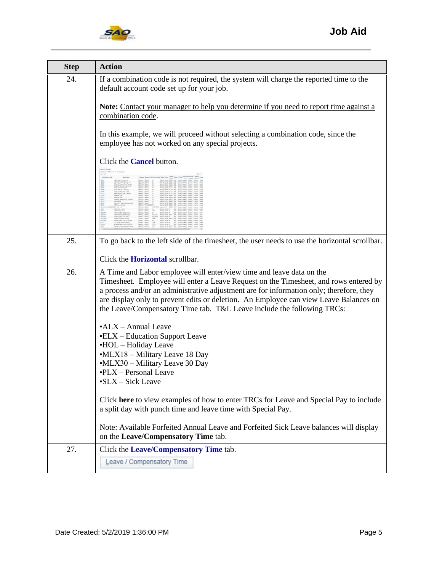

| <b>Step</b> | <b>Action</b>                                                                                                                                                                                                                                                                                                                                                                                                                                            |
|-------------|----------------------------------------------------------------------------------------------------------------------------------------------------------------------------------------------------------------------------------------------------------------------------------------------------------------------------------------------------------------------------------------------------------------------------------------------------------|
| 24.         | If a combination code is not required, the system will charge the reported time to the<br>default account code set up for your job.                                                                                                                                                                                                                                                                                                                      |
|             | Note: Contact your manager to help you determine if you need to report time against a<br>combination code.                                                                                                                                                                                                                                                                                                                                               |
|             | In this example, we will proceed without selecting a combination code, since the<br>employee has not worked on any special projects.                                                                                                                                                                                                                                                                                                                     |
|             | Click the <b>Cancel</b> button.                                                                                                                                                                                                                                                                                                                                                                                                                          |
|             |                                                                                                                                                                                                                                                                                                                                                                                                                                                          |
| 25.         | To go back to the left side of the timesheet, the user needs to use the horizontal scrollbar.                                                                                                                                                                                                                                                                                                                                                            |
|             | Click the <b>Horizontal</b> scrollbar.                                                                                                                                                                                                                                                                                                                                                                                                                   |
| 26.         | A Time and Labor employee will enter/view time and leave data on the<br>Timesheet. Employee will enter a Leave Request on the Timesheet, and rows entered by<br>a process and/or an administrative adjustment are for information only; therefore, they<br>are display only to prevent edits or deletion. An Employee can view Leave Balances on<br>the Leave/Compensatory Time tab. T&L Leave include the following TRCs:<br>$\cdot$ ALX - Annual Leave |
|             | •ELX – Education Support Leave<br>•HOL – Holiday Leave                                                                                                                                                                                                                                                                                                                                                                                                   |
|             | •MLX18 - Military Leave 18 Day                                                                                                                                                                                                                                                                                                                                                                                                                           |
|             | •MLX30 - Military Leave 30 Day<br>•PLX – Personal Leave                                                                                                                                                                                                                                                                                                                                                                                                  |
|             | •SLX – Sick Leave                                                                                                                                                                                                                                                                                                                                                                                                                                        |
|             | Click here to view examples of how to enter TRCs for Leave and Special Pay to include<br>a split day with punch time and leave time with Special Pay.                                                                                                                                                                                                                                                                                                    |
|             | Note: Available Forfeited Annual Leave and Forfeited Sick Leave balances will display<br>on the Leave/Compensatory Time tab.                                                                                                                                                                                                                                                                                                                             |
| 27.         | Click the Leave/Compensatory Time tab.                                                                                                                                                                                                                                                                                                                                                                                                                   |
|             | Leave / Compensatory Time                                                                                                                                                                                                                                                                                                                                                                                                                                |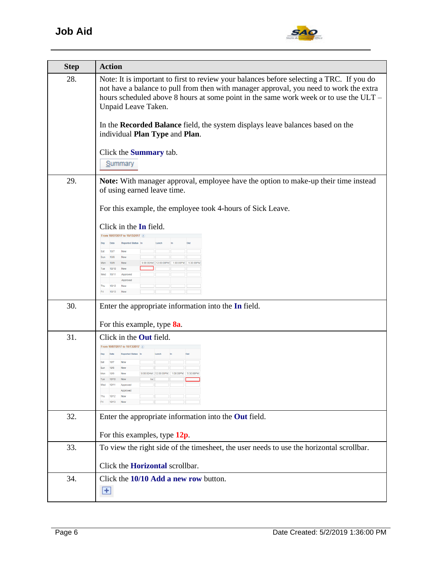

| <b>Step</b> | <b>Action</b>                                                                                                                                                                                                                                                                                      |
|-------------|----------------------------------------------------------------------------------------------------------------------------------------------------------------------------------------------------------------------------------------------------------------------------------------------------|
| 28.         | Note: It is important to first to review your balances before selecting a TRC. If you do<br>not have a balance to pull from then with manager approval, you need to work the extra<br>hours scheduled above 8 hours at some point in the same work week or to use the ULT -<br>Unpaid Leave Taken. |
|             | In the Recorded Balance field, the system displays leave balances based on the<br>individual Plan Type and Plan.                                                                                                                                                                                   |
|             | Click the <b>Summary</b> tab.<br>Summary                                                                                                                                                                                                                                                           |
| 29.         | <b>Note:</b> With manager approval, employee have the option to make-up their time instead<br>of using earned leave time.                                                                                                                                                                          |
|             | For this example, the employee took 4-hours of Sick Leave.                                                                                                                                                                                                                                         |
|             | Click in the In field.                                                                                                                                                                                                                                                                             |
|             | From 10/07/2017 to 10/13/2017<br><b>Reported Status</b>                                                                                                                                                                                                                                            |
|             | 10/7<br><b>New</b><br>Sat<br>Sun<br>10/8<br>New<br>10/9<br>8:00:00AM 12:00:00PM<br><b>New</b><br>1:00:00PM<br>Mon                                                                                                                                                                                  |
|             | 10/10<br>Tue<br>New<br>Wed<br>10/11<br>Approved<br>Approved                                                                                                                                                                                                                                        |
|             | Thu<br>10/12<br><b>New</b><br>10/13<br>New                                                                                                                                                                                                                                                         |
| 30.         | Enter the appropriate information into the In field.                                                                                                                                                                                                                                               |
|             | For this example, type 8a.                                                                                                                                                                                                                                                                         |
| 31.         | Click in the <b>Out</b> field.<br>From 10/07/2017 to 10/13/2017                                                                                                                                                                                                                                    |
|             | Reported Status In<br>Date<br>Day<br>10/7<br><b>New</b>                                                                                                                                                                                                                                            |
|             | 10/8<br><b>New</b><br>Sun<br>8:00:00AM 12:00:00PM<br>1:00:00PM<br>10/9<br>5:30:00PI<br><b>New</b><br>Mon                                                                                                                                                                                           |
|             | 10/10<br>New<br>Tue<br>8a<br>Approved                                                                                                                                                                                                                                                              |
|             | Thu                                                                                                                                                                                                                                                                                                |
| 32.         | Enter the appropriate information into the Out field.                                                                                                                                                                                                                                              |
|             | For this examples, type $12p$ .                                                                                                                                                                                                                                                                    |
| 33.         | To view the right side of the timesheet, the user needs to use the horizontal scrollbar.                                                                                                                                                                                                           |
|             | Click the <b>Horizontal</b> scrollbar.                                                                                                                                                                                                                                                             |
| 34.         | Click the 10/10 Add a new row button.                                                                                                                                                                                                                                                              |
|             | $\pm$                                                                                                                                                                                                                                                                                              |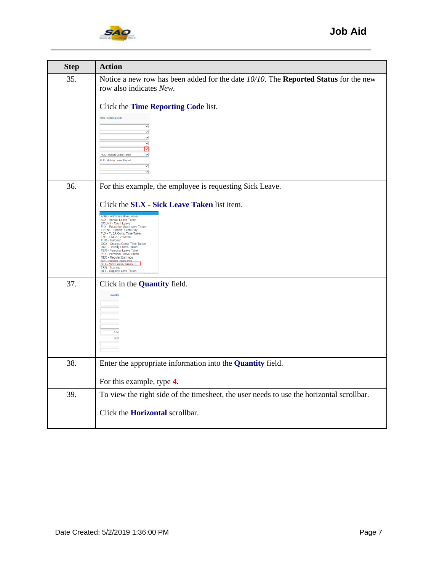

| <b>Step</b> | <b>Action</b>                                                                                                                                                                                                                                                                                                                                                                   |
|-------------|---------------------------------------------------------------------------------------------------------------------------------------------------------------------------------------------------------------------------------------------------------------------------------------------------------------------------------------------------------------------------------|
| 35.         | Notice a new row has been added for the date $10/10$ . The <b>Reported Status</b> for the new<br>row also indicates New.                                                                                                                                                                                                                                                        |
|             | Click the Time Reporting Code list.                                                                                                                                                                                                                                                                                                                                             |
|             | <b>Time Reporting Code</b><br>$\breve{ }$<br>▽<br>V<br>М<br>⊡                                                                                                                                                                                                                                                                                                                   |
|             | HOL - Holiday Leave Take<br>v<br><b>HLE - Holiday Leave Earned</b>                                                                                                                                                                                                                                                                                                              |
|             | $\checkmark$<br>v                                                                                                                                                                                                                                                                                                                                                               |
| 36.         | For this example, the employee is requesting Sick Leave.                                                                                                                                                                                                                                                                                                                        |
|             | Click the SLX - Sick Leave Taken list item.                                                                                                                                                                                                                                                                                                                                     |
|             | <b>ADM - Administrative Leave</b><br>ALX - Annual Leave Taken<br>COURT - Court Leave<br>ELX - Education Sup Leave Taken<br>EVENT - Special Event Pay<br>FLX - FLSA Comp Time Taken<br>FM1 - FMLA 12 Weeks<br>FUR - Furlough<br>GCX - Georgia Comp Time Taken<br>HOL - Holiday Leave Taken<br>PER - Personal Leave Taken<br>PLX - Personal Leave Taken<br>REG - Regular Earnings |
|             | SIP - Special Iniury Pay<br><b>SIX - Sick Leave Taker</b><br>TRN - Training<br>JLT - Unpaid Leave Taken                                                                                                                                                                                                                                                                         |
| 37.         | Click in the <b>Quantity</b> field.                                                                                                                                                                                                                                                                                                                                             |
|             | Quantity                                                                                                                                                                                                                                                                                                                                                                        |
|             |                                                                                                                                                                                                                                                                                                                                                                                 |
|             |                                                                                                                                                                                                                                                                                                                                                                                 |
|             | 800<br>8.00                                                                                                                                                                                                                                                                                                                                                                     |
|             |                                                                                                                                                                                                                                                                                                                                                                                 |
| 38.         | Enter the appropriate information into the <b>Quantity</b> field.                                                                                                                                                                                                                                                                                                               |
|             | For this example, type 4.                                                                                                                                                                                                                                                                                                                                                       |
| 39.         | To view the right side of the timesheet, the user needs to use the horizontal scrollbar.                                                                                                                                                                                                                                                                                        |
|             | Click the <b>Horizontal</b> scrollbar.                                                                                                                                                                                                                                                                                                                                          |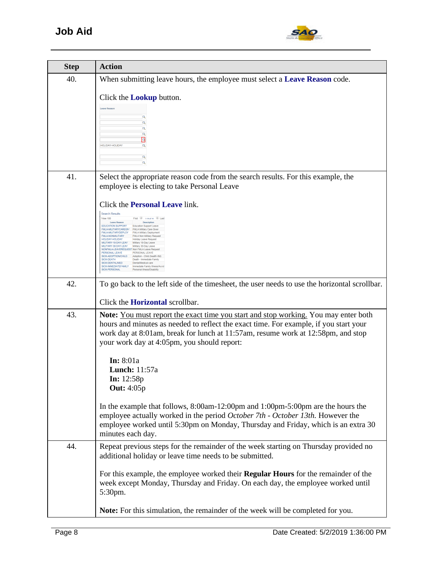

| <b>Step</b> | <b>Action</b>                                                                                                                                                                                                                                                                                                                                                                                                                                                                                                                                                                                                                                                                                                                                                                                                                                                               |
|-------------|-----------------------------------------------------------------------------------------------------------------------------------------------------------------------------------------------------------------------------------------------------------------------------------------------------------------------------------------------------------------------------------------------------------------------------------------------------------------------------------------------------------------------------------------------------------------------------------------------------------------------------------------------------------------------------------------------------------------------------------------------------------------------------------------------------------------------------------------------------------------------------|
| 40.         | When submitting leave hours, the employee must select a <b>Leave Reason</b> code.                                                                                                                                                                                                                                                                                                                                                                                                                                                                                                                                                                                                                                                                                                                                                                                           |
|             | Click the <b>Lookup</b> button.<br><b>Leave Reason</b><br>Q<br>Q<br>$\mathsf{Q}$<br>HOLIDAY-HOLIDAY<br>la<br>$\alpha$<br>Q                                                                                                                                                                                                                                                                                                                                                                                                                                                                                                                                                                                                                                                                                                                                                  |
| 41.         | Select the appropriate reason code from the search results. For this example, the<br>employee is electing to take Personal Leave                                                                                                                                                                                                                                                                                                                                                                                                                                                                                                                                                                                                                                                                                                                                            |
|             | Click the <b>Personal Leave</b> link.<br><b>Search Results</b><br>View 100<br>First <sup>1</sup> 1-14 of 14 <b>D</b> Last<br><b>Leave Reason</b><br><b>Description</b><br><b>EDUCATION SUPPORT</b><br>Education Support Leave<br>FMLA-MILITARYCAREGIV FMLA Military Care Giver<br>FMLA-MILITARYDEPLOY<br>FMLA Military Deployment<br>FMLA-NONMILITARY<br>FMLA Non Military Request<br>HOLIDAY-HOLIDAY<br><b>Holiday Leave Request</b><br>MILITARY-18-DAY-LEAV Military 18-Day Leave<br>MILITARY-30-DAY-LEAV<br>Military 30-Day Leave<br>NONFMLA-LEAVEREQUEST Non FMLA Leave Request<br>PERSONAL LEAVE<br>PERSONAL LEAVE<br>SICK-ADOPTION/CHILD Adoption - Child (health ritd)<br>SICK-DEATH<br>Death - Immediate Family<br>SICK-DENTAL/MED<br>Dental/Medical care<br>SICK-IMMEDIATEFAMILY<br>Immediate Family Illness/Accid<br>SICK-PERSONAL<br>Personal illness/Disability |
| 42.         | To go back to the left side of the timesheet, the user needs to use the horizontal scrollbar.                                                                                                                                                                                                                                                                                                                                                                                                                                                                                                                                                                                                                                                                                                                                                                               |
|             | Click the <b>Horizontal</b> scrollbar.                                                                                                                                                                                                                                                                                                                                                                                                                                                                                                                                                                                                                                                                                                                                                                                                                                      |
| 43.         | <b>Note:</b> You must report the exact time you start and stop working. You may enter both<br>hours and minutes as needed to reflect the exact time. For example, if you start your<br>work day at 8:01 am, break for lunch at 11:57 am, resume work at 12:58 pm, and stop<br>your work day at 4:05pm, you should report:<br>In: $8:01a$<br><b>Lunch:</b> 11:57a<br><b>In:</b> $12:58p$<br><b>Out:</b> 4:05p                                                                                                                                                                                                                                                                                                                                                                                                                                                                |
|             | In the example that follows, $8:00$ am-12:00pm and $1:00$ pm-5:00pm are the hours the<br>employee actually worked in the period October 7th - October 13th. However the<br>employee worked until 5:30pm on Monday, Thursday and Friday, which is an extra 30<br>minutes each day.                                                                                                                                                                                                                                                                                                                                                                                                                                                                                                                                                                                           |
| 44.         | Repeat previous steps for the remainder of the week starting on Thursday provided no<br>additional holiday or leave time needs to be submitted.                                                                                                                                                                                                                                                                                                                                                                                                                                                                                                                                                                                                                                                                                                                             |
|             | For this example, the employee worked their <b>Regular Hours</b> for the remainder of the<br>week except Monday, Thursday and Friday. On each day, the employee worked until<br>5:30pm.                                                                                                                                                                                                                                                                                                                                                                                                                                                                                                                                                                                                                                                                                     |
|             | Note: For this simulation, the remainder of the week will be completed for you.                                                                                                                                                                                                                                                                                                                                                                                                                                                                                                                                                                                                                                                                                                                                                                                             |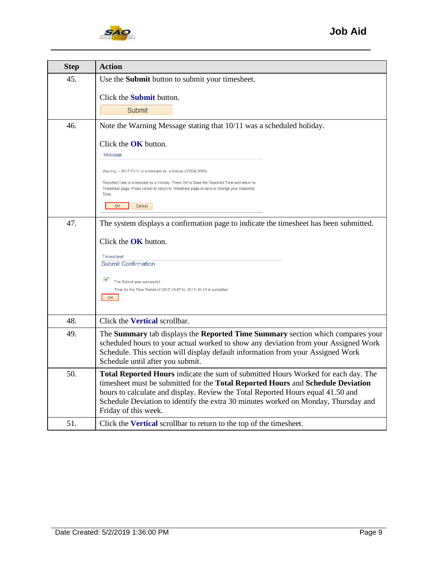

| <b>Step</b> | <b>Action</b>                                                                                                                                                                                                                                                                                                                                                                |
|-------------|------------------------------------------------------------------------------------------------------------------------------------------------------------------------------------------------------------------------------------------------------------------------------------------------------------------------------------------------------------------------------|
| 45.         | Use the Submit button to submit your timesheet.                                                                                                                                                                                                                                                                                                                              |
|             | Click the <b>Submit</b> button.<br>Submit                                                                                                                                                                                                                                                                                                                                    |
| 46.         | Note the Warning Message stating that 10/11 was a scheduled holiday.                                                                                                                                                                                                                                                                                                         |
|             | Click the OK button.<br>Message<br>Warning -- 2017-10-11 is scheduled as a holiday (13504,3003)<br>Reported Date is scheduled as a Holiday. Press OK to Save the Reported Time and return to<br>Timesheet page. Press cancel to return to Timesheet page to save or change your Reported<br>Time.<br>OK<br>Cancel                                                            |
| 47.         | The system displays a confirmation page to indicate the timesheet has been submitted.                                                                                                                                                                                                                                                                                        |
|             | Click the OK button.<br><b>Timesheet</b><br><b>Submit Confirmation</b><br>⊻<br>The Submit was successful.<br>Time for the Time Period of 2017-10-07 to 2017-10-13 is submitted<br>OK.                                                                                                                                                                                        |
| 48.         | Click the Vertical scrollbar.                                                                                                                                                                                                                                                                                                                                                |
| 49.         | The Summary tab displays the Reported Time Summary section which compares your<br>scheduled hours to your actual worked to show any deviation from your Assigned Work<br>Schedule. This section will display default information from your Assigned Work<br>Schedule until after you submit.                                                                                 |
| 50.         | <b>Total Reported Hours</b> indicate the sum of submitted Hours Worked for each day. The<br>timesheet must be submitted for the Total Reported Hours and Schedule Deviation<br>hours to calculate and display. Review the Total Reported Hours equal 41.50 and<br>Schedule Deviation to identify the extra 30 minutes worked on Monday, Thursday and<br>Friday of this week. |
| 51.         | Click the Vertical scrollbar to return to the top of the timesheet.                                                                                                                                                                                                                                                                                                          |